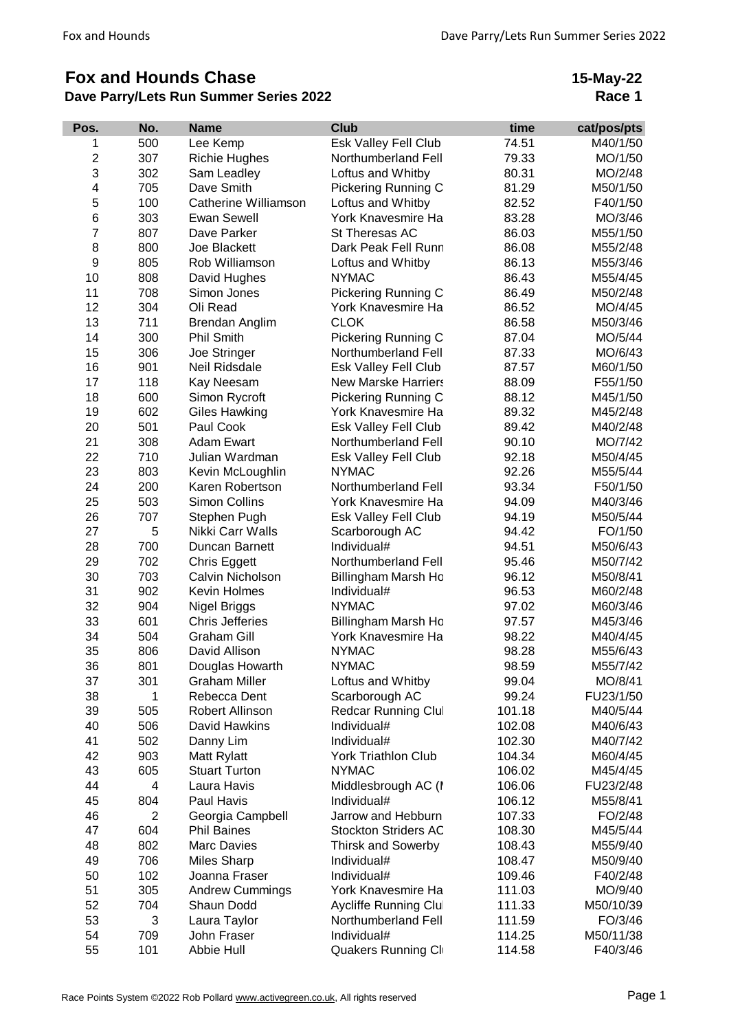## **Fox and Hounds Chase**

## **Dave Parry/Lets Run Summer Series 2022**

**15-May-22 Race 1**

| Pos.                      | No. | <b>Name</b>            | <b>Club</b>                 | time   | cat/pos/pts |
|---------------------------|-----|------------------------|-----------------------------|--------|-------------|
| 1                         | 500 | Lee Kemp               | Esk Valley Fell Club        | 74.51  | M40/1/50    |
| $\mathbf 2$               | 307 | <b>Richie Hughes</b>   | Northumberland Fell         | 79.33  | MO/1/50     |
| $\ensuremath{\mathsf{3}}$ | 302 | Sam Leadley            | Loftus and Whitby           | 80.31  | MO/2/48     |
| 4                         | 705 | Dave Smith             | Pickering Running C         | 81.29  | M50/1/50    |
| $\mathbf 5$               | 100 | Catherine Williamson   | Loftus and Whitby           | 82.52  | F40/1/50    |
| $\,6$                     | 303 | Ewan Sewell            | York Knavesmire Ha          | 83.28  | MO/3/46     |
| $\overline{7}$            | 807 | Dave Parker            | St Theresas AC              | 86.03  | M55/1/50    |
| 8                         | 800 | Joe Blackett           | Dark Peak Fell Runn         | 86.08  | M55/2/48    |
| 9                         | 805 | Rob Williamson         | Loftus and Whitby           | 86.13  | M55/3/46    |
| 10                        | 808 | David Hughes           | <b>NYMAC</b>                | 86.43  | M55/4/45    |
| 11                        | 708 | Simon Jones            | Pickering Running C         | 86.49  | M50/2/48    |
| 12                        | 304 | Oli Read               | York Knavesmire Ha          | 86.52  | MO/4/45     |
| 13                        | 711 | <b>Brendan Anglim</b>  | <b>CLOK</b>                 | 86.58  | M50/3/46    |
| 14                        | 300 | <b>Phil Smith</b>      | Pickering Running C         | 87.04  | MO/5/44     |
| 15                        | 306 | Joe Stringer           | Northumberland Fell         | 87.33  | MO/6/43     |
| 16                        | 901 | Neil Ridsdale          | Esk Valley Fell Club        | 87.57  | M60/1/50    |
| 17                        | 118 | Kay Neesam             | <b>New Marske Harriers</b>  | 88.09  | F55/1/50    |
| 18                        | 600 | Simon Rycroft          | Pickering Running C         | 88.12  | M45/1/50    |
| 19                        | 602 | <b>Giles Hawking</b>   | York Knavesmire Ha          | 89.32  | M45/2/48    |
| 20                        | 501 | Paul Cook              | Esk Valley Fell Club        | 89.42  | M40/2/48    |
| 21                        | 308 | <b>Adam Ewart</b>      | Northumberland Fell         | 90.10  | MO/7/42     |
| 22                        | 710 | Julian Wardman         | Esk Valley Fell Club        | 92.18  | M50/4/45    |
| 23                        | 803 | Kevin McLoughlin       | <b>NYMAC</b>                | 92.26  | M55/5/44    |
| 24                        | 200 | Karen Robertson        | Northumberland Fell         | 93.34  | F50/1/50    |
| 25                        | 503 | Simon Collins          | York Knavesmire Ha          | 94.09  | M40/3/46    |
| 26                        | 707 | Stephen Pugh           | Esk Valley Fell Club        | 94.19  | M50/5/44    |
| 27                        | 5   | Nikki Carr Walls       | Scarborough AC              | 94.42  | FO/1/50     |
| 28                        | 700 | Duncan Barnett         | Individual#                 | 94.51  | M50/6/43    |
| 29                        | 702 | Chris Eggett           | Northumberland Fell         | 95.46  | M50/7/42    |
| 30                        | 703 | Calvin Nicholson       | Billingham Marsh Ho         | 96.12  | M50/8/41    |
| 31                        | 902 | <b>Kevin Holmes</b>    | Individual#                 | 96.53  | M60/2/48    |
| 32                        | 904 | Nigel Briggs           | <b>NYMAC</b>                | 97.02  | M60/3/46    |
| 33                        | 601 | <b>Chris Jefferies</b> | Billingham Marsh Ho         | 97.57  | M45/3/46    |
| 34                        | 504 | <b>Graham Gill</b>     | York Knavesmire Ha          | 98.22  | M40/4/45    |
| 35                        | 806 | David Allison          | <b>NYMAC</b>                | 98.28  | M55/6/43    |
| 36                        | 801 | Douglas Howarth        | <b>NYMAC</b>                | 98.59  | M55/7/42    |
| 37                        | 301 | <b>Graham Miller</b>   | Loftus and Whitby           | 99.04  | MO/8/41     |
| 38                        | 1   | Rebecca Dent           | Scarborough AC              | 99.24  | FU23/1/50   |
| 39                        | 505 | Robert Allinson        | Redcar Running Clul         | 101.18 | M40/5/44    |
| 40                        | 506 | David Hawkins          | Individual#                 | 102.08 | M40/6/43    |
| 41                        | 502 | Danny Lim              | Individual#                 | 102.30 | M40/7/42    |
| 42                        | 903 | Matt Rylatt            | <b>York Triathlon Club</b>  | 104.34 | M60/4/45    |
| 43                        | 605 | <b>Stuart Turton</b>   | <b>NYMAC</b>                | 106.02 | M45/4/45    |
| 44                        | 4   | Laura Havis            | Middlesbrough AC (I         | 106.06 | FU23/2/48   |
| 45                        | 804 | Paul Havis             | Individual#                 | 106.12 | M55/8/41    |
| 46                        | 2   | Georgia Campbell       | Jarrow and Hebburn          | 107.33 | FO/2/48     |
| 47                        | 604 | <b>Phil Baines</b>     | <b>Stockton Striders AC</b> | 108.30 | M45/5/44    |
| 48                        | 802 | <b>Marc Davies</b>     | <b>Thirsk and Sowerby</b>   | 108.43 | M55/9/40    |
| 49                        | 706 | <b>Miles Sharp</b>     | Individual#                 | 108.47 | M50/9/40    |
| 50                        | 102 | Joanna Fraser          | Individual#                 | 109.46 | F40/2/48    |
| 51                        | 305 | <b>Andrew Cummings</b> | York Knavesmire Ha          | 111.03 | MO/9/40     |
| 52                        | 704 | Shaun Dodd             | Aycliffe Running Clu        | 111.33 | M50/10/39   |
| 53                        | 3   | Laura Taylor           | Northumberland Fell         | 111.59 | FO/3/46     |
| 54                        | 709 | John Fraser            | Individual#                 | 114.25 | M50/11/38   |
| 55                        | 101 | Abbie Hull             | Quakers Running Cl          | 114.58 | F40/3/46    |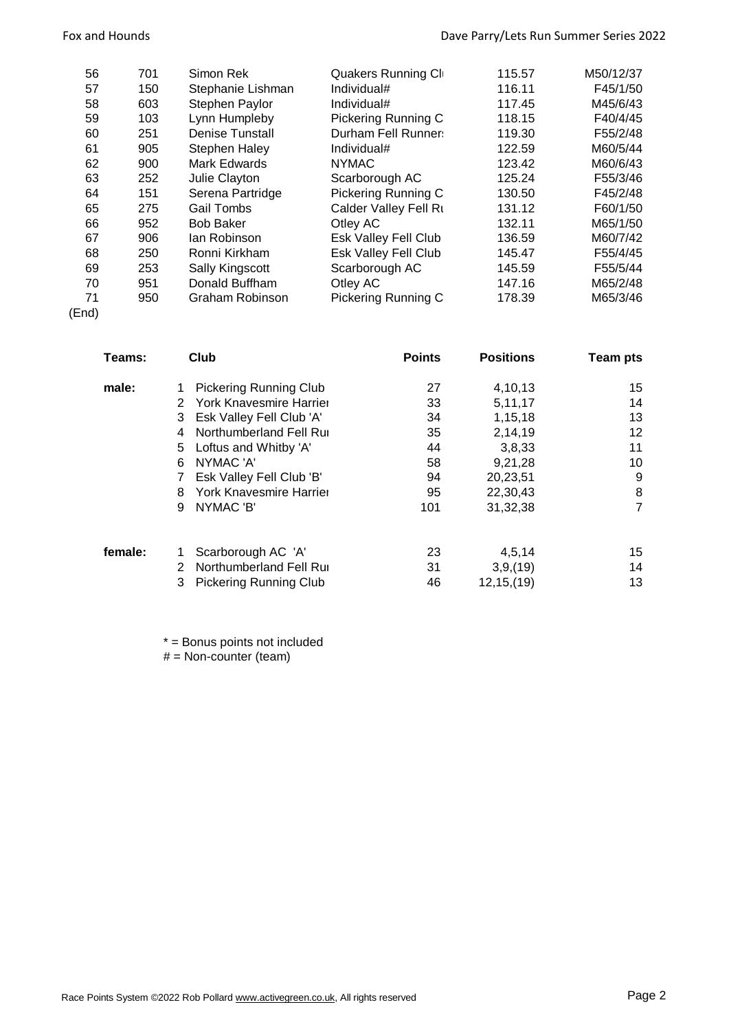| 56 | 701 | Simon Rek              | Quakers Running Cl          | 115.57 | M50/12/37 |
|----|-----|------------------------|-----------------------------|--------|-----------|
| 57 | 150 | Stephanie Lishman      | Individual#                 | 116.11 | F45/1/50  |
| 58 | 603 | Stephen Paylor         | Individual#                 | 117.45 | M45/6/43  |
| 59 | 103 | Lynn Humpleby          | Pickering Running C         | 118.15 | F40/4/45  |
| 60 | 251 | <b>Denise Tunstall</b> | Durham Fell Runner:         | 119.30 | F55/2/48  |
| 61 | 905 | <b>Stephen Haley</b>   | Individual#                 | 122.59 | M60/5/44  |
| 62 | 900 | Mark Edwards           | <b>NYMAC</b>                | 123.42 | M60/6/43  |
| 63 | 252 | Julie Clayton          | Scarborough AC              | 125.24 | F55/3/46  |
| 64 | 151 | Serena Partridge       | Pickering Running C         | 130.50 | F45/2/48  |
| 65 | 275 | <b>Gail Tombs</b>      | Calder Valley Fell Rt       | 131.12 | F60/1/50  |
| 66 | 952 | <b>Bob Baker</b>       | Otley AC                    | 132.11 | M65/1/50  |
| 67 | 906 | lan Robinson           | <b>Esk Valley Fell Club</b> | 136.59 | M60/7/42  |
| 68 | 250 | Ronni Kirkham          | Esk Valley Fell Club        | 145.47 | F55/4/45  |
| 69 | 253 | Sally Kingscott        | Scarborough AC              | 145.59 | F55/5/44  |
| 70 | 951 | Donald Buffham         | Otley AC                    | 147.16 | M65/2/48  |
| 71 | 950 | Graham Robinson        | Pickering Running C         | 178.39 | M65/3/46  |

(End)

| Teams:  | Club                               | <b>Points</b> | <b>Positions</b> | Team pts       |
|---------|------------------------------------|---------------|------------------|----------------|
| male:   | <b>Pickering Running Club</b>      | 27            | 4,10,13          | 15             |
|         | York Knavesmire Harrier<br>2       | 33            | 5,11,17          | 14             |
|         | Esk Valley Fell Club 'A'<br>3      | 34            | 1,15,18          | 13             |
|         | Northumberland Fell Rui<br>4       | 35            | 2,14,19          | 12             |
|         | Loftus and Whitby 'A'<br>5         | 44            | 3,8,33           | 11             |
|         | NYMAC 'A'<br>6                     | 58            | 9,21,28          | 10             |
|         | Esk Valley Fell Club 'B'           | 94            | 20,23,51         | 9              |
|         | York Knavesmire Harrier<br>8       | 95            | 22,30,43         | 8              |
|         | NYMAC 'B'<br>9                     | 101           | 31,32,38         | $\overline{7}$ |
| female: | Scarborough AC 'A'                 | 23            | 4,5,14           | 15             |
|         | Northumberland Fell Rui<br>2       | 31            | 3,9, (19)        | 14             |
|         | <b>Pickering Running Club</b><br>3 | 46            | 12, 15, (19)     | 13             |

\* = Bonus points not included

# = Non-counter (team)